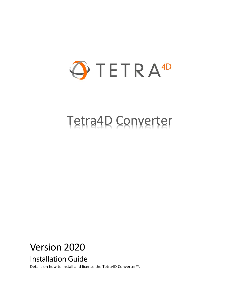

# Tetra4D Converter

## Version 2020

## Installation Guide

Details on how to install and license the Tetra4D Converter™.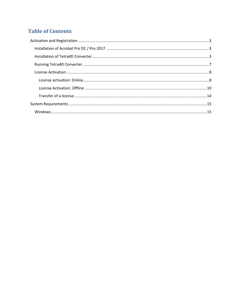### **Table of Contents**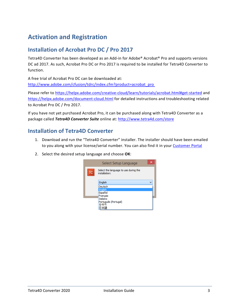## <span id="page-2-0"></span>**Activation and Registration**

#### <span id="page-2-1"></span>**Installation of Acrobat Pro DC / Pro 2017**

Tetra4D Converter has been developed as an Add-in for Adobe® Acrobat® Pro and supports versions DC ad 2017. As such, Acrobat Pro DC or Pro 2017 is required to be installed for Tetra4D Converter to function.

A free trial of Acrobat Pro DC can be downloaded at: [http://www.adobe.com/cfusion/tdrc/index.cfm?product=acrobat\\_pro](http://www.adobe.com/cfusion/tdrc/index.cfm?product=acrobat_pro)

Please refer to<https://helpx.adobe.com/creative-cloud/learn/tutorials/acrobat.html#get-started> and <https://helpx.adobe.com/document-cloud.html> for detailed instructions and troubleshooting related to Acrobat Pro DC / Pro 2017.

If you have not yet purchased Acrobat Pro, it can be purchased along with Tetra4D Converter as a package called *Tetra4D Converter Suite* online at:<http://www.tetra4d.com/store>

#### <span id="page-2-2"></span>**Installation of Tetra4D Converter**

- 1. Download and run the "Tetra4D Converter" installer. The installer should have been emailed to you along with your license/serial number. You can also find it in your [Customer Portal](https://checkout.na1.netsuite.com/app/center/nlvisitor.nl/c.1268810/sc.6/.f)
- 2. Select the desired setup language and choose **OK**:

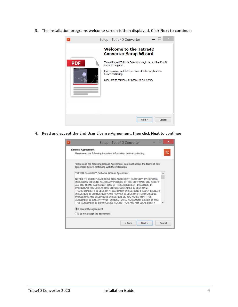3. The installation programs welcome screen is then displayed. Click **Next** to continue:



4. Read and accept the End User License Agreement, then click **Next** to continue:

|                                                                                                                                      | Setup - Tetra4D Converter | $\times$ |
|--------------------------------------------------------------------------------------------------------------------------------------|---------------------------|----------|
| <b>License Agreement</b>                                                                                                             |                           |          |
| Please read the following important information before continuing.                                                                   |                           |          |
| Please read the following License Agreement. You must accept the terms of this<br>agreement before continuing with the installation. |                           |          |
| Tetra4D Converter™ Software License Agreement                                                                                        |                           |          |
| NOTICE TO USER: PLEASE READ THIS AGREEMENT CAREFULLY. BY COPYING,                                                                    |                           |          |
| INSTALLING OR USING ALL OR ANY PORTION OF THE SOFTWARE YOU ACCEPT                                                                    |                           |          |
| ALL THE TERMS AND CONDITIONS OF THIS AGREEMENT, INCLUDING, IN                                                                        |                           |          |
| PARTICULAR THE LIMITATIONS ON: USE CONTAINED IN SECTION 2;<br>TRANSFERABILITY IN SECTION 4; WARRANTY IN SECTIONS 6 AND 7; LIABILITY  |                           |          |
| IN SECTION 8; CONNECTIVITY AND PRIVACY IN SECTION 14; AND SPECIFIC                                                                   |                           |          |
| PROVISIONS AND EXCEPTIONS IN SECTION 15, YOU AGREE THAT THIS                                                                         |                           |          |
| AGREEMENT IS LIKE ANY WRITTEN NEGOTIATED AGREEMENT SIGNED BY YOU.<br>THIS AGREEMENT IS ENFORCEABLE AGAINST YOU AND ANY LEGAL ENTITY  |                           |          |
|                                                                                                                                      |                           |          |
| I accept the agreement                                                                                                               |                           |          |
| I do not accept the agreement                                                                                                        |                           |          |
|                                                                                                                                      |                           |          |
|                                                                                                                                      | $<$ Back<br>Next          | Cancel   |
|                                                                                                                                      |                           |          |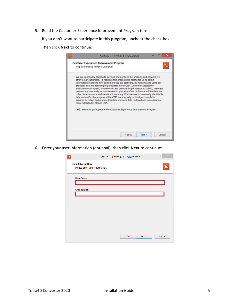5. Read the Customer Experience Improvement Program terms.

If you don't want to participate in this program, uncheck the check-box.

Then click **Next** to continue:

|                                                                         | servers located in EU and USA. | We are continually seeking to develop and enhance the products and services we<br>offer to our customers. To facilitate this process it is helpful for us to collect<br>information related to how customers use our software. By installing and using our<br>products, you are agreeing to participate in our CEIP (Customer Experience<br>Improvement Program) whereby you are granting us permission to collect, maintain,<br>process and use analytics data related to your use of our Software. All the data we<br>collect is anonymous and we do not store any IP addresses or personally identifiable<br>information. For the purpose of the CEIP, we may rely on third party analytics<br>services to collect and process this data and such data is stored and processed on |  |
|-------------------------------------------------------------------------|--------------------------------|--------------------------------------------------------------------------------------------------------------------------------------------------------------------------------------------------------------------------------------------------------------------------------------------------------------------------------------------------------------------------------------------------------------------------------------------------------------------------------------------------------------------------------------------------------------------------------------------------------------------------------------------------------------------------------------------------------------------------------------------------------------------------------------|--|
| I accept to participate to the Customer Experience Improvement Program. |                                |                                                                                                                                                                                                                                                                                                                                                                                                                                                                                                                                                                                                                                                                                                                                                                                      |  |

6. Enter your user information (optional), then click **Next** to continue:

| $\times$<br>Setup - Tetra4D Converter<br>$\mathsf{T}\mathsf{C}$                     |
|-------------------------------------------------------------------------------------|
| <b>User Information</b><br>$\mathsf{T}\mathsf{C}$<br>Please enter your information. |
| User Name:                                                                          |
| Organization:                                                                       |
|                                                                                     |
|                                                                                     |
|                                                                                     |
|                                                                                     |
| Cancel<br>$<$ Back<br>Next                                                          |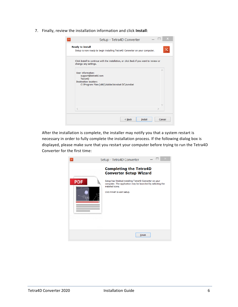7. Finally, review the installation information and click **Install**:

| Setup - Tetra4D Converter                                                                                                              |
|----------------------------------------------------------------------------------------------------------------------------------------|
| <b>Ready to Install</b><br>TC<br>Setup is now ready to begin installing Tetra4D Converter on your computer.                            |
| Click Install to continue with the installation, or click Back if you want to review or<br>change any settings.                        |
| User information:<br>support@tetra4d.com<br>Tetra4D<br><b>Destination location:</b><br>C:\Program Files (x86)\Adobe\Acrobat DC\Acrobat |
| $\lt$                                                                                                                                  |
| $<$ Back<br><b>Install</b><br>Cancel                                                                                                   |

After the installation is complete, the installer may notify you that a system restart is necessary in order to fully complete the installation process. If the following dialog box is displayed, please make sure that you restart your computer before trying to run the Tetra4D Converter for the first time:

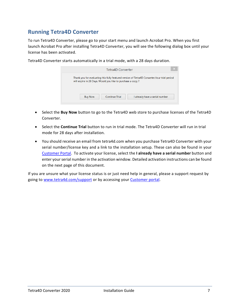#### <span id="page-6-0"></span>**Running Tetra4D Converter**

To run Tetra4D Converter, please go to your start menu and launch Acrobat Pro. When you first launch Acrobat Pro after installing Tetra4D Converter, you will see the following dialog box until your license has been activated.

| Tetra4D Converter                                                                                                                                          | $\overline{\mathsf{x}}$        |
|------------------------------------------------------------------------------------------------------------------------------------------------------------|--------------------------------|
| Thank you for evaluating this fully featured version of Tetra4D Converter. Your trial period<br>will expire in 28 Days. Would you like to purchase a copy? |                                |
| Continue Trial<br><b>Buy Now</b>                                                                                                                           | I already have a serial number |

Tetra4D Converter starts automatically in a trial mode, with a 28 days duration.

- Select the **Buy Now** button to go to the Tetra4D web store to purchase licenses of the Tetra4D Converter.
- Select the **Continue Trial** button to run in trial mode. The Tetra4D Converter will run in trial mode for 28 days after installation.
- You should receive an email from tetra4d.com when you purchase Tetra4D Converter with your serial number/license key and a link to the installation setup. These can also be found in your [Customer Portal.](https://checkout.na1.netsuite.com/app/center/nlvisitor.nl/c.1268810/sc.6/.f) To activate your license, select the **I already have a serial number** button and enter your serial number in the activation window. Detailed activation instructions can be found on the next page of this document.

If you are unsure what your license status is or just need help in general, please a support request by going to [www.tetra4d.com/support](http://www.tetra4d.com/support) or by accessing your [Customer portal.](https://checkout.na1.netsuite.com/app/center/nlvisitor.nl/c.1268810/sc.6/.f)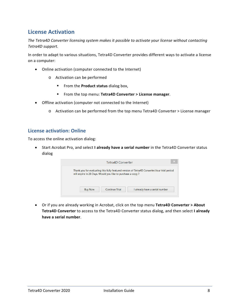#### <span id="page-7-0"></span>**License Activation**

*The Tetra4D Converter licensing system makes it possible to activate your license without contacting Tetra4D support.*

In order to adapt to various situations, Tetra4D Converter provides different ways to activate a license on a computer:

- Online activation (computer connected to the Internet)
	- o Activation can be performed
		- **From the Product status** dialog box,
		- From the top menu: **Tetra4D Converter > License manager**.
- Offline activation (computer not connected to the Internet)
	- o Activation can be performed from the top menu Tetra4D Converter > License manager

#### <span id="page-7-1"></span>**License activation: Online**

To access the online activation dialog:

• Start Acrobat Pro, and select **I already have a serial number** in the Tetra4D Converter status dialog

|                                                            | Tetra4D Converter     |                                                                                              | $\times$ |
|------------------------------------------------------------|-----------------------|----------------------------------------------------------------------------------------------|----------|
| will expire in 28 Days. Would you like to purchase a copy? |                       | Thank you for evaluating this fully featured version of Tetra4D Converter. Your trial period |          |
| <b>Buy Now</b>                                             | <b>Continue Trial</b> | I already have a serial number                                                               |          |

• Or if you are already working in Acrobat, click on the top menu **Tetra4D Converter > About Tetra4D Converter** to access to the Tetra4D Converter status dialog, and then select **I already have a serial number**.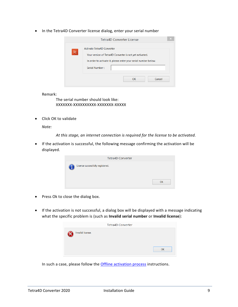• In the Tetra4D Converter license dialog, enter your serial number

|     | <b>Tetra4D Converter License</b>                                                                                                                                           |        |
|-----|----------------------------------------------------------------------------------------------------------------------------------------------------------------------------|--------|
| TC. | Activate Tetra4D Converter<br>Your version of Tetra4D Converter is not yet activated.<br>In order to activate it, please enter your serial number below.<br>Serial Number: |        |
|     | <b>OK</b>                                                                                                                                                                  | Cancel |

Remark:

The serial number should look like: XXXXXXX-XXXXXXXXXX-XXXXXXX-XXXXX

• Click OK to validate

*Note:*

*At this stage, an internet connection is required for the license to be activated.*

• If the activation is successful, the following message confirming the activation will be displayed.

| <b>Tetra4D Converter</b>         |    |
|----------------------------------|----|
| License successfully registered. |    |
|                                  | OK |

- Press Ok to close the dialog box.
- If the activation is not successful, a dialog box will be displayed with a message indicating what the specific problem is (such as **Invalid serial number** or **Invalid license**):

|                  | <b>Tetra4D Converter</b> |
|------------------|--------------------------|
| Invalid license. |                          |
|                  | OK                       |

In such a case, please follow the **Offline activation process** instructions.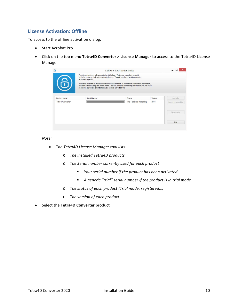#### <span id="page-9-0"></span>**License Activation: Offline**

To access to the offline activation dialog:

- Start Acrobat Pro
- Click on the top menu **Tetra4D Converter > License Manager** to access to the Tetra4D License Manager

| 6                   | Registered products will appear in the list below. To license a product, select it<br>in the list below and click the Activate button. You will need your serial number to<br>activate the product.<br>Activation requires an active connection to the Internet. If no Internet connection is available,<br>you can activate using the offline mode. This will create a license request file that you will need<br>to send to support in order to receive a license activation file. |                           |         |                     |
|---------------------|--------------------------------------------------------------------------------------------------------------------------------------------------------------------------------------------------------------------------------------------------------------------------------------------------------------------------------------------------------------------------------------------------------------------------------------------------------------------------------------|---------------------------|---------|---------------------|
| <b>Product Name</b> | Serial Number                                                                                                                                                                                                                                                                                                                                                                                                                                                                        | <b>Status</b>             | Version | Activate            |
| Tetra4D Converter   |                                                                                                                                                                                                                                                                                                                                                                                                                                                                                      | Trial - 28 Days Remaining | 2015    | Import License File |
|                     |                                                                                                                                                                                                                                                                                                                                                                                                                                                                                      |                           |         |                     |
|                     |                                                                                                                                                                                                                                                                                                                                                                                                                                                                                      |                           |         | Deactivate          |

*Note:*

- *The Tetra4D License Manager tool lists:*
	- o *The installed Tetra4D products*
	- o *The Serial number currently used for each product*
		- *Your serial number if the product has been activated*
		- *A generic "trial" serial number if the product is in trial mode*
	- o *The status of each product (Trial mode, registered…)*
	- o *The version of each product*
- Select the **Tetra4D Converter** product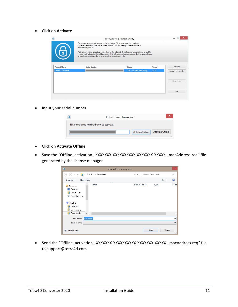• Click on **Activate**

| 6                                               | Registered products will appear in the list below. To license a product, select it<br>in the list below and click the Activate button. You will need your serial number to<br>activate the product.<br>to send to support in order to receive a license activation file. | Activation requires an active connection to the Internet. If no Internet connection is available.<br>you can activate using the offline mode. This will create a license request file that you will need |                 |                                 |
|-------------------------------------------------|--------------------------------------------------------------------------------------------------------------------------------------------------------------------------------------------------------------------------------------------------------------------------|----------------------------------------------------------------------------------------------------------------------------------------------------------------------------------------------------------|-----------------|---------------------------------|
| <b>Product Name</b><br><b>Tetra4D Converter</b> | Serial Number                                                                                                                                                                                                                                                            | Status<br>Trial - 28 Days Remaining                                                                                                                                                                      | Version<br>2015 | Activate<br>Import License File |
|                                                 |                                                                                                                                                                                                                                                                          |                                                                                                                                                                                                          |                 | Deactivate                      |
|                                                 |                                                                                                                                                                                                                                                                          |                                                                                                                                                                                                          |                 |                                 |

• Input your serial number

| <b>Enter Serial Number</b>                  |
|---------------------------------------------|
| Enter your serial number below to activate. |
| Activate Online   Activate Offline          |

- Click on **Activate Offline**
- Save the "Offline\_activation\_ XXXXXXX-XXXXXXXXXX-XXXXXX-XXXXX \_macAddress.req" file generated by the license manager

| $\blacktriangleright$                                                                                         |                           | Save a license request           | $\times$      |
|---------------------------------------------------------------------------------------------------------------|---------------------------|----------------------------------|---------------|
| $(\Rightarrow)$<br>$(\Leftarrow)$                                                                             | This PC > Downloads<br>b. | Search Downloads<br>۹<br>Ċ<br>v. |               |
| Organize v                                                                                                    | New folder                | 988 ▼                            | $\circ$       |
| Favorites<br>₩<br>Desktop<br>Downloads<br>lh.<br>Recent places<br>This PC<br>Desktop<br>н<br><b>Documents</b> | ×<br>Name                 | Date modified<br>Type            | <b>Size</b>   |
| <b>Downloads</b>                                                                                              | $\vee$ <                  |                                  | $\rightarrow$ |
| File name:                                                                                                    | license.req               |                                  | v             |
| Save as type:                                                                                                 |                           |                                  | $\checkmark$  |
| <b>Hide Folders</b>                                                                                           |                           | Save<br>Cancel                   | a.            |

• Send the "Offline\_activation\_ XXXXXXX-XXXXXXXXXX-XXXXXXX-XXXXX \_macAddress.req" file to [support@tetra4d.com](mailto:support@tetra4d.com)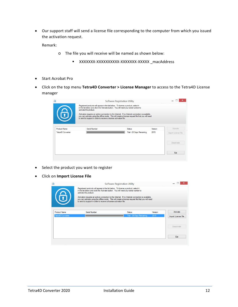• Our support staff will send a license file corresponding to the computer from which you issued the activation request.

Remark:

- o The file you will receive will be named as shown below:
	- XXXXXXX-XXXXXXXXXX-XXXXXXX-XXXXX \_macAddress
- Start Acrobat Pro
- Click on the top menu **Tetra4D Converter > License Manager** to access to the Tetra4D License manager

|                     | Registered products will appear in the list below. To license a product, select it<br>in the list below and click the Activate button. You will need your serial number to<br>activate the product.<br>Activation requires an active connection to the Internet. If no Internet connection is available,<br>you can activate using the offline mode. This will create a license request file that you will need<br>to send to support in order to receive a license activation file. |                           |         |                     |
|---------------------|--------------------------------------------------------------------------------------------------------------------------------------------------------------------------------------------------------------------------------------------------------------------------------------------------------------------------------------------------------------------------------------------------------------------------------------------------------------------------------------|---------------------------|---------|---------------------|
| <b>Product Name</b> | Serial Number                                                                                                                                                                                                                                                                                                                                                                                                                                                                        | Status.                   | Version | Activate            |
| Tetra4D Converter   |                                                                                                                                                                                                                                                                                                                                                                                                                                                                                      | Trial - 28 Days Remaining | 2015    | Import License File |
|                     |                                                                                                                                                                                                                                                                                                                                                                                                                                                                                      |                           |         | <b>Deactivate</b>   |
|                     |                                                                                                                                                                                                                                                                                                                                                                                                                                                                                      |                           |         |                     |

- Select the product you want to register
- Click on **Import License File**

|                          | Registered products will appear in the list below. To license a product, select it<br>in the list below and click the Activate button. You will need your serial number to<br>activate the product. |                                                                                                                                                                                                          |         |                     |
|--------------------------|-----------------------------------------------------------------------------------------------------------------------------------------------------------------------------------------------------|----------------------------------------------------------------------------------------------------------------------------------------------------------------------------------------------------------|---------|---------------------|
| 6                        | to send to support in order to receive a license activation file.                                                                                                                                   | Activation requires an active connection to the Internet. If no Internet connection is available,<br>you can activate using the offline mode. This will create a license request file that you will need |         |                     |
| <b>Product Name</b>      | Serial Number                                                                                                                                                                                       | Status                                                                                                                                                                                                   | Version | Activate            |
| <b>Tetra4D Converter</b> |                                                                                                                                                                                                     | Trial - 28 Days Remaining                                                                                                                                                                                | 2015    | Import License File |
|                          |                                                                                                                                                                                                     |                                                                                                                                                                                                          |         | <b>Deactivate</b>   |
|                          |                                                                                                                                                                                                     |                                                                                                                                                                                                          |         |                     |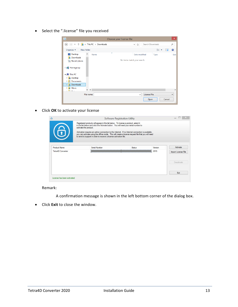• Select the ".license" file you received

| $\overline{\mathbf{Q}}$                                                                                           |                                 | Choose your license file                     | $\boldsymbol{\mathsf{x}}$                                                    |
|-------------------------------------------------------------------------------------------------------------------|---------------------------------|----------------------------------------------|------------------------------------------------------------------------------|
| $(\Leftarrow)$<br>$\Rightarrow$                                                                                   | This PC > Downloads<br>b.       | Ċ<br>$\checkmark$                            | Search Downloads<br>Q                                                        |
| Organize $\blacktriangledown$                                                                                     | New folder                      |                                              | <b>距</b><br>$\odot$<br>Ш                                                     |
| Desktop<br><b>Downloads</b><br><b>E</b> Recent places                                                             | ۰<br>۸<br>Name                  | Date modified<br>No items match your search. | Type<br>Size                                                                 |
| $\triangleright$ e Homegroup<br>⊿ I <sup>II</sup> III This PC                                                     |                                 |                                              |                                                                              |
| <b>Desktop</b><br>$\triangleright$<br><b>Documents</b><br>D<br><b>Downloads</b><br>$\triangleright$<br>Music<br>Ь |                                 |                                              |                                                                              |
| <b>STELLON</b>                                                                                                    | $\times$ $\times$<br>File name: | $\checkmark$                                 | $\rightarrow$<br><b>License File</b><br>$\checkmark$<br>Cancel<br>Open<br>J. |

• Click **OK** to activate your license

|                                          | Registered products will appear in the list below. To license a product, select it<br>in the list below and click the Activate button. You will need your serial number to<br>activate the product.<br>Activation requires an active connection to the Internet. If no Internet connection is available,<br>you can activate using the offline mode. This will create a license request file that you will need<br>to send to support in order to receive a license activation file. |        |                 |                                 |
|------------------------------------------|--------------------------------------------------------------------------------------------------------------------------------------------------------------------------------------------------------------------------------------------------------------------------------------------------------------------------------------------------------------------------------------------------------------------------------------------------------------------------------------|--------|-----------------|---------------------------------|
| <b>Product Name</b><br>Tetra4D Converter | Serial Number                                                                                                                                                                                                                                                                                                                                                                                                                                                                        | Status | Version<br>2015 | Activate<br>Import License File |
|                                          |                                                                                                                                                                                                                                                                                                                                                                                                                                                                                      |        |                 | Deactivate                      |
|                                          |                                                                                                                                                                                                                                                                                                                                                                                                                                                                                      |        |                 |                                 |

Remark:

A confirmation message is shown in the left bottom corner of the dialog box.

• Click **Exit** to close the window.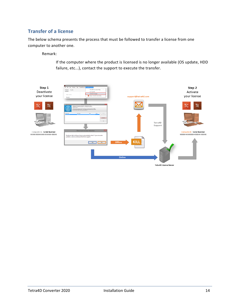#### <span id="page-13-0"></span>**Transfer of a license**

The below schema presents the process that must be followed to transfer a license from one computer to another one.

Remark:

If the computer where the product is licensed is no longer available (OS update, HDD failure, etc...), contact the support to execute the transfer.